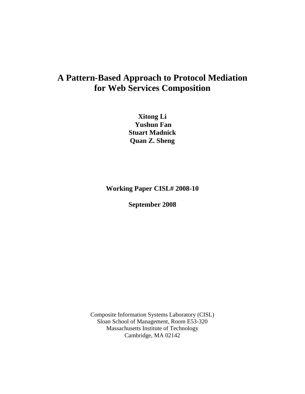# **A Pattern-Based Approach to Protocol Mediation for Web Services Composition**

**Xitong Li Yushun Fan Stuart Madnick Quan Z. Sheng** 

**Working Paper CISL# 2008-10** 

**September 2008** 

Composite Information Systems Laboratory (CISL) Sloan School of Management, Room E53-320 Massachusetts Institute of Technology Cambridge, MA 02142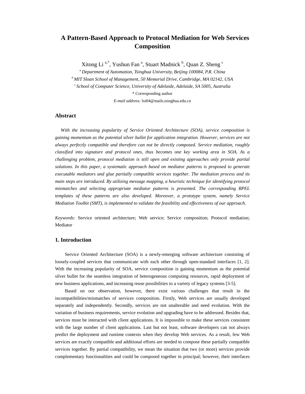# **A Pattern-Based Approach to Protocol Mediation for Web Services Composition**

Xitong Li<sup>a,\*</sup>, Yushun Fan<sup>a</sup>, Stuart Madnick <sup>b</sup>, Quan Z. Sheng <sup>c</sup>

*a Department of Automation, Tsinghua University, Beijing 100084, P.R. China b MIT Sloan School of Management, 50 Memorial Drive, Cambridge, MA 02142, USA c School of Computer Science, University of Adelaide, Adelaide, SA 5005, Australia*  \* Corresponding author *E-mail address:* lxt04@mails.tsinghua.edu.cn

# **Abstract**

*With the increasing popularity of Service Oriented Architecture (SOA), service composition is gaining momentum as the potential silver bullet for application integration. However, services are not always perfectly compatible and therefore can not be directly composed. Service mediation, roughly classified into signature and protocol ones, thus becomes one key working area in SOA. As a challenging problem, protocol mediation is still open and existing approaches only provide partial solutions. In this paper, a systematic approach based on mediator patterns is proposed to generate executable mediators and glue partially compatible services together. The mediation process and its main steps are introduced. By utilizing message mapping, a heuristic technique for identifying protocol mismatches and selecting appropriate mediator patterns is presented. The corresponding BPEL templates of these patterns are also developed. Moreover, a prototype system, namely Service Mediation Toolkit (SMT), is implemented to validate the feasibility and effectiveness of our approach.* 

*Keywords:* Service oriented architecture; Web service; Service composition; Protocol mediation; Mediator

#### **1. Introduction**

Service Oriented Architecture (SOA) is a newly-emerging software architecture consisting of loosely-coupled services that communicate with each other through open-standard interfaces [1, 2]. With the increasing popularity of SOA, service composition is gaining momentum as the potential silver bullet for the seamless integration of heterogeneous computing resources, rapid deployment of new business applications, and increasing reuse possibilities to a variety of legacy systems [3-5].

Based on our observation, however, there exist various challenges that result in the incompatibilities/mismatches of services composition. Firstly, Web services are usually developed separately and independently. Secondly, services are not unalterable and need evolution. With the variation of business requirements, service evolution and upgrading have to be addressed. Besides that, services must be interacted with client applications. It is impossible to make these services consistent with the large number of client applications. Last but not least, software developers can not always predict the deployment and runtime contexts when they develop Web services. As a result, few Web services are exactly compatible and additional efforts are needed to compose these partially compatible services together. By partial compatibility, we mean the situation that two (or more) services provide complementary functionalities and could be composed together in principal; however, their interfaces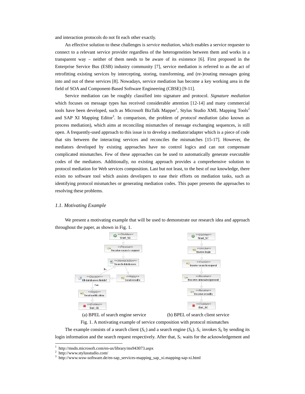and interaction protocols do not fit each other exactly.

An effective solution to these challenges is *service mediation*, which enables a service requester to connect to a relevant service provider regardless of the heterogeneities between them and works in a transparent way – neither of them needs to be aware of its existence [6]. First proposed in the Enterprise Service Bus (ESB) industry community [7], service mediation is referred to as the act of retrofitting existing services by intercepting, storing, transforming, and (re-)routing messages going into and out of these services [8]. Nowadays, service mediation has become a key working area in the field of SOA and Component-Based Software Engineering (CBSE) [9-11].

Service mediation can be roughly classified into signature and protocol. *Signature mediation* which focuses on message types has received considerable attention [12-14] and many commercial tools have been developed, such as Microsoft BizTalk Mapper<sup>1</sup>, Stylus Studio XML Mapping Tools<sup>2</sup> and SAP XI Mapping Editor<sup>3</sup>. In comparison, the problem of *protocol mediation* (also known as process mediation), which aims at reconciling mismatches of message exchanging sequences, is still open. A frequently-used approach to this issue is to develop a mediator/adapter which is a piece of code that sits between the interacting services and reconciles the mismatches [15-17]. However, the mediators developed by existing approaches have no control logics and can not compensate complicated mismatches. Few of these approaches can be used to automatically generate executable codes of the mediators. Additionally, no existing approach provides a comprehensive solution to protocol mediation for Web services composition. Last but not least, to the best of our knowledge, there exists no software tool which assists developers to ease their efforts on mediation tasks, such as identifying protocol mismatches or generating mediation codes. This paper presents the approaches to resolving these problems.

#### *1.1. Motivating Example*

We present a motivating example that will be used to demonstrate our research idea and approach throughout the paper, as shown in Fig. 1.



(a) BPEL of search engine service (b) BPEL of search client service

Fig. 1. A motivating example of service composition with protocol mismatches

The example consists of a search client  $(S_C)$  and a search engine  $(S_E)$ .  $S_C$  invokes  $S_E$  by sending its login information and the search request respectively. After that, *S*<sub>C</sub> waits for the acknowledgement and

 $\overline{a}$ 

<sup>1</sup> http://msdn.microsoft.com/en-us/library/ms943073.aspx 2

 $\frac{1}{3}$  http://www.stylusstudio.com/

http://www.wsw-software.de/en-sap\_services-mapping\_sap\_xi.mapping-sap-xi.html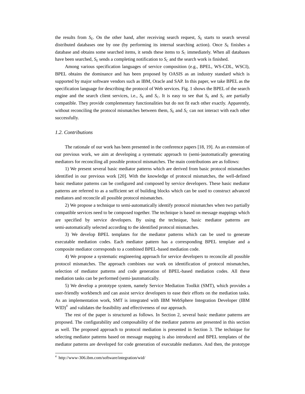the results from  $S<sub>E</sub>$ . On the other hand, after receiving search request,  $S<sub>E</sub>$  starts to search several distributed databases one by one (by performing its internal searching action). Once  $S<sub>E</sub>$  finishes a database and obtains some searched items, it sends these items to  $S<sub>C</sub>$  immediately. When all databases have been searched,  $S_E$  sends a completing notification to  $S_C$  and the search work is finished.

Among various specification languages of service composition (e.g., BPEL, WS-CDL, WSCI), BPEL obtains the dominance and has been proposed by OASIS as an industry standard which is supported by major software vendors such as IBM, Oracle and SAP. In this paper, we take BPEL as the specification language for describing the protocol of Web services. Fig. 1 shows the BPEL of the search engine and the search client services, i.e.,  $S_E$  and  $S_C$ . It is easy to see that  $S_E$  and  $S_C$  are partially compatible. They provide complementary functionalities but do not fit each other exactly. Apparently, without reconciling the protocol mismatches between them,  $S<sub>E</sub>$  and  $S<sub>C</sub>$  can not interact with each other successfully.

#### *1.2. Contributions*

The rationale of our work has been presented in the conference papers [18, 19]. As an extension of our previous work, we aim at developing a systematic approach to (semi-)automatically generating mediators for reconciling all possible protocol mismatches. The main contributions are as follows:

1) We present several basic mediator patterns which are derived from basic protocol mismatches identified in our previous work [20]. With the knowledge of protocol mismatches, the well-defined basic mediator patterns can be configured and composed by service developers. These basic mediator patterns are referred to as a sufficient set of building blocks which can be used to construct advanced mediators and reconcile all possible protocol mismatches.

2) We propose a technique to semi-automatically identify protocol mismatches when two partially compatible services need to be composed together. The technique is based on message mappings which are specified by service developers. By using the technique, basic mediator patterns are semi-automatically selected according to the identified protocol mismatches.

3) We develop BPEL templates for the mediator patterns which can be used to generate executable mediation codes. Each mediator pattern has a corresponding BPEL template and a composite mediator corresponds to a combined BPEL-based mediation code.

4) We propose a systematic engineering approach for service developers to reconcile all possible protocol mismatches. The approach combines our work on identification of protocol mismatches, selection of mediator patterns and code generation of BPEL-based mediation codes. All these mediation tasks can be performed (semi-)automatically.

5) We develop a prototype system, namely Service Mediation Toolkit (SMT), which provides a user-friendly workbench and can assist service developers to ease their efforts on the mediation tasks. As an implementation work, SMT is integrated with IBM WebSphere Integration Developer (IBM  $WID$ <sup>4</sup> and validates the feasibility and effectiveness of our approach.

The rest of the paper is structured as follows. In Section 2, several basic mediator patterns are proposed. The configurability and composability of the mediator patterns are presented in this section as well. The proposed approach to protocol mediation is presented in Section 3. The technique for selecting mediator patterns based on message mapping is also introduced and BPEL templates of the mediator patterns are developed for code generation of executable mediators. And then, the prototype

 $\overline{a}$ 

<sup>4</sup> http://www-306.ibm.com/software/integration/wid/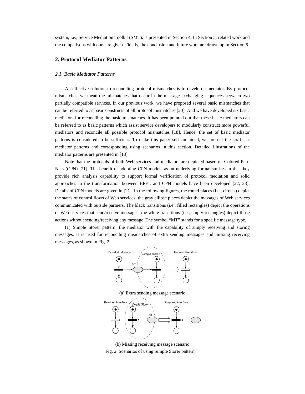system, i.e., Service Mediation Toolkit (SMT), is presented in Section 4. In Section 5, related work and the comparisons with ours are given. Finally, the conclusion and future work are drawn up in Section 6.

# **2. Protocol Mediator Patterns**

#### *2.1. Basic Mediator Patterns*

An effective solution to reconciling protocol mismatches is to develop a mediator. By protocol mismatches, we mean the mismatches that occur in the message exchanging sequences between two partially compatible services. In our previous work, we have proposed several basic mismatches that can be referred to as basic constructs of all protocol mismatches [20]. And we have developed six basic mediators for reconciling the basic mismatches. It has been pointed out that these basic mediators can be referred to as basic patterns which assist service developers to modularly construct more powerful mediators and reconcile all possible protocol mismatches [18]. Hence, the set of basic mediator patterns is considered to be sufficient. To make this paper self-contained, we present the six basic mediator patterns and corresponding using scenarios in this section. Detailed illustrations of the mediator patterns are presented in [18].

Note that the protocols of both Web services and mediators are depicted based on Colored Petri Nets (CPN) [21]. The benefit of adopting CPN models as an underlying formalism lies in that they provide rich analysis capability to support formal verification of protocol mediation and solid approaches to the transformation between BPEL and CPN models have been developed [22, 23]. Details of CPN models are given in [21]. In the following figures, the round places (i.e., circles) depict the states of control flows of Web services; the gray ellipse places depict the messages of Web services communicated with outside partners. The black transitions (i.e., filled rectangles) depict the operations of Web services that send/receive messages; the white transitions (i.e., empty rectangles) depict those actions without sending/receiving any message. The symbol "MT" stands for a specific message type.

(1) Simple Storer pattern: the mediator with the capability of simply receiving and storing messages. It is used for reconciling mismatches of extra sending messages and missing receiving messages, as shown in Fig. 2.



(a) Extra sending message scenario





Fig. 2. Scenarios of using Simple Storer pattern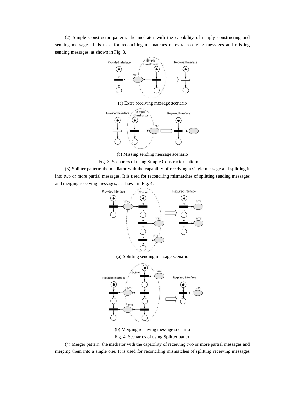(2) Simple Constructor pattern: the mediator with the capability of simply constructing and sending messages. It is used for reconciling mismatches of extra receiving messages and missing sending messages, as shown in Fig. 3.



(a) Extra receiving message scenario



(b) Missing sending message scenario

Fig. 3. Scenarios of using Simple Constructor pattern

(3) Splitter pattern: the mediator with the capability of receiving a single message and splitting it into two or more partial messages. It is used for reconciling mismatches of splitting sending messages and merging receiving messages, as shown in Fig. 4.





(b) Merging receiving message scenario

Fig. 4. Scenarios of using Splitter pattern

(4) Merger pattern: the mediator with the capability of receiving two or more partial messages and merging them into a single one. It is used for reconciling mismatches of splitting receiving messages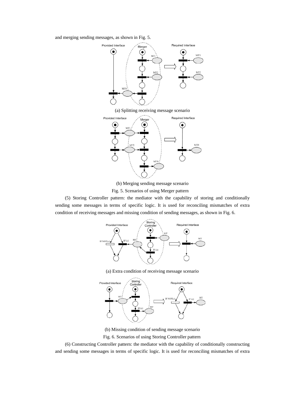and merging sending messages, as shown in Fig. 5.



(b) Merging sending message scenario

MT<sub>0</sub>

Fig. 5. Scenarios of using Merger pattern

(5) Storing Controller pattern: the mediator with the capability of storing and conditionally sending some messages in terms of specific logic. It is used for reconciling mismatches of extra condition of receiving messages and missing condition of sending messages, as shown in Fig. 6.



(a) Extra condition of receiving message scenario



(b) Missing condition of sending message scenario

Fig. 6. Scenarios of using Storing Controller pattern

(6) Constructing Controller pattern: the mediator with the capability of conditionally constructing and sending some messages in terms of specific logic. It is used for reconciling mismatches of extra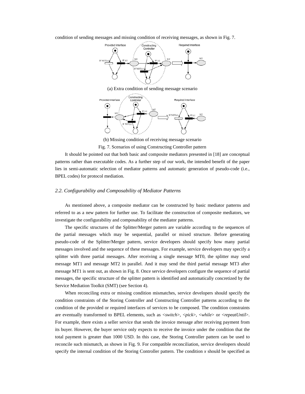condition of sending messages and missing condition of receiving messages, as shown in Fig. 7.



(a) Extra condition of sending message scenario



(b) Missing condition of receiving message scenario Fig. 7. Scenarios of using Constructing Controller pattern

It should be pointed out that both basic and composite mediators presented in [18] are conceptual patterns rather than executable codes. As a further step of our work, the intended benefit of the paper lies in semi-automatic selection of mediator patterns and automatic generation of pseudo-code (i.e.,

#### *2.2. Configurability and Composability of Mediator Patterns*

BPEL codes) for protocol mediation.

As mentioned above, a composite mediator can be constructed by basic mediator patterns and referred to as a new pattern for further use. To facilitate the construction of composite mediators, we investigate the configurability and composability of the mediator patterns.

The specific structures of the Splitter/Merger pattern are variable according to the sequences of the partial messages which may be sequential, parallel or mixed structure. Before generating pseudo-code of the Splitter/Merger pattern, service developers should specify how many partial messages involved and the sequence of these messages. For example, service developers may specify a splitter with three partial messages. After receiving a single message MT0, the splitter may send message MT1 and message MT2 in parallel. And it may send the third partial message MT3 after message MT1 is sent out, as shown in Fig. 8. Once service developers configure the sequence of partial messages, the specific structure of the splitter pattern is identified and automatically concretized by the Service Mediation Toolkit (SMT) (see Section 4).

When reconciling extra or missing condition mismatches, service developers should specify the condition constraints of the Storing Controller and Constructing Controller patterns according to the condition of the provided or required interfaces of services to be composed. The condition constraints are eventually transformed to BPEL elements, such as <*switch*>, <*pick*>, <*while*> or <*repeatUntil*>. For example, there exists a seller service that sends the invoice message after receiving payment from its buyer. However, the buyer service only expects to receive the invoice under the condition that the total payment is greater than 1000 USD. In this case, the Storing Controller pattern can be used to reconcile such mismatch, as shown in Fig. 9. For compatible reconciliation, service developers should specify the internal condition of the Storing Controller pattern. The condition *x* should be specified as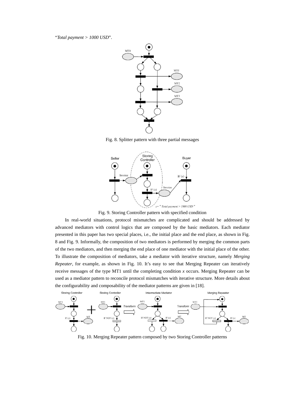"*Total payment > 1000 USD*".



Fig. 8. Splitter pattern with three partial messages



Fig. 9. Storing Controller pattern with specified condition

In real-world situations, protocol mismatches are complicated and should be addressed by advanced mediators with control logics that are composed by the basic mediators. Each mediator presented in this paper has two special places, i.e., the initial place and the end place, as shown in Fig. 8 and Fig. 9. Informally, the composition of two mediators is performed by merging the common parts of the two mediators, and then merging the end place of one mediator with the initial place of the other. To illustrate the composition of mediators, take a mediator with iterative structure, namely *Merging Repeater*, for example, as shown in Fig. 10. It's easy to see that Merging Repeater can iteratively receive messages of the type MT1 until the completing condition *x* occurs. Merging Repeater can be used as a mediator pattern to reconcile protocol mismatches with iterative structure. More details about the configurability and composability of the mediator patterns are given in [18].



Fig. 10. Merging Repeater pattern composed by two Storing Controller patterns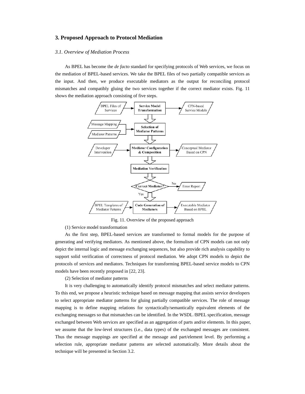# **3. Proposed Approach to Protocol Mediation**

#### *3.1. Overview of Mediation Process*

As BPEL has become the *de facto* standard for specifying protocols of Web services, we focus on the mediation of BPEL-based services. We take the BPEL files of two partially compatible services as the input. And then, we produce executable mediators as the output for reconciling protocol mismatches and compatibly gluing the two services together if the correct mediator exists. Fig. 11 shows the mediation approach consisting of five steps.



Fig. 11. Overview of the proposed approach

(1) Service model transformation

As the first step, BPEL-based services are transformed to formal models for the purpose of generating and verifying mediators. As mentioned above, the formulism of CPN models can not only depict the internal logic and message exchanging sequences, but also provide rich analysis capability to support solid verification of correctness of protocol mediation. We adopt CPN models to depict the protocols of services and mediators. Techniques for transforming BPEL-based service models to CPN models have been recently proposed in [22, 23].

(2) Selection of mediator patterns

It is very challenging to automatically identify protocol mismatches and select mediator patterns. To this end, we propose a heuristic technique based on message mapping that assists service developers to select appropriate mediator patterns for gluing partially compatible services. The role of message mapping is to define mapping relations for syntactically/semantically equivalent elements of the exchanging messages so that mismatches can be identified. In the WSDL /BPEL specification, message exchanged between Web services are specified as an aggregation of parts and/or elements. In this paper, we assume that the low-level structures (i.e., data types) of the exchanged messages are consistent. Thus the message mappings are specified at the message and part/element level. By performing a selection rule, appropriate mediator patterns are selected automatically. More details about the technique will be presented in Section 3.2.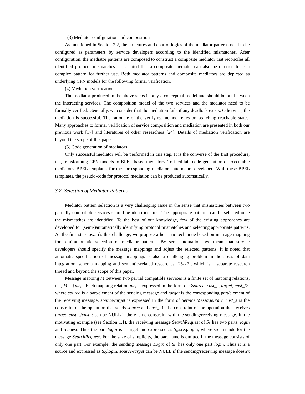(3) Mediator configuration and composition

As mentioned in Section 2.2, the structures and control logics of the mediator patterns need to be configured as parameters by service developers according to the identified mismatches. After configuration, the mediator patterns are composed to construct a composite mediator that reconciles all identified protocol mismatches. It is noted that a composite mediator can also be referred to as a complex pattern for further use. Both mediator patterns and composite mediators are depicted as underlying CPN models for the following formal verification.

#### (4) Mediation verification

The mediator produced in the above steps is only a conceptual model and should be put between the interacting services. The composition model of the two services and the mediator need to be formally verified. Generally, we consider that the mediation fails if any deadlock exists. Otherwise, the mediation is successful. The rationale of the verifying method relies on searching reachable states. Many approaches to formal verification of service composition and mediation are presented in both our previous work [17] and literatures of other researchers [24]. Details of mediation verification are beyond the scope of this paper.

# (5) Code generation of mediators

Only successful mediator will be performed in this step. It is the converse of the first procedure, i.e., transforming CPN models to BPEL-based mediators. To facilitate code generation of executable mediators, BPEL templates for the corresponding mediator patterns are developed. With these BPEL templates, the pseudo-code for protocol mediation can be produced automatically.

#### *3.2. Selection of Mediator Patterns*

 Mediator pattern selection is a very challenging issue in the sense that mismatches between two partially compatible services should be identified first. The appropriate patterns can be selected once the mismatches are identified. To the best of our knowledge, few of the existing approaches are developed for (semi-)automatically identifying protocol mismatches and selecting appropriate patterns. As the first step towards this challenge, we propose a heuristic technique based on message mapping for semi-automatic selection of mediator patterns. By semi-automation, we mean that service developers should specify the message mappings and adjust the selected patterns. It is noted that automatic specification of message mappings is also a challenging problem in the areas of data integration, schema mapping and semantic-related researches [25-27], which is a separate research thread and beyond the scope of this paper.

 Message mapping *M* between two partial compatible services is a finite set of mapping relations, i.e.,  $M = \{mr_i\}$ . Each mapping relation  $mr_i$  is expressed in the form of <*source*, *cnst\_s*, *target*, *cnst\_t*>, where *source* is a part/element of the sending message and *target* is the corresponding part/element of the receiving message. *source*/*target* is expressed in the form of *Service.Message.Part*. *cnst\_s* is the constraint of the operation that sends *source* and *cnst\_t* is the constraint of the operation that receives *target*. *cnst\_s*/*cnst\_t* can be NULL if there is no constraint with the sending/receiving message. In the motivating example (see Section 1.1), the receiving message *SearchRequest* of *S*<sub>E</sub> has two parts: *login* and *request*. Thus the part *login* is a target and expressed as  $S<sub>E</sub>$ , sreq.login, where sreq stands for the message *SearchRequest*. For the sake of simplicity, the part name is omitted if the message consists of only one part. For example, the sending message *Login* of  $S_c$  has only one part *login*. Thus it is a source and expressed as *S<sub>C</sub>*.login. *source/target* can be NULL if the sending/receiving message doesn't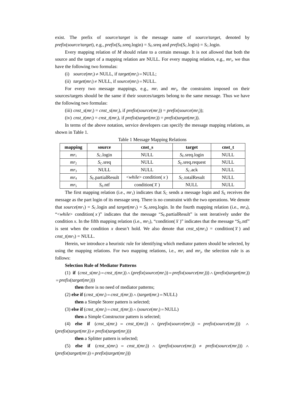exist. The prefix of *source*/*target* is the message name of *source*/*target*, denoted by  $prefix(source/target)$ , e.g.,  $prefix(S_E. \text{seq}.\text{login}) = S_E. \text{seq}$  and  $prefix(S_C. \text{login}) = S_C. \text{login}$ .

Every mapping relation of *M* should relate to a certain message. It is not allowed that both the source and the target of a mapping relation are NULL. For every mapping relation, e.g., *mr*i, we thus have the following two formulas:

- (i)  $source(mr_i) \neq NULL$ , if  $target(mr_i) = NULL$ ;
- (ii)  $target(mr_i) \neq NULL$ , if  $source(mr_i) = NULL$ .

For every two message mappings, e.g.,  $mr<sub>i</sub>$  and  $mr<sub>i</sub>$ , the constraints imposed on their sources/targets should be the same if their sources/targets belong to the same message. Thus we have the following two formulas:

(iii)  $cnst\_s(mr_i) = cnst\_s(mr_i)$ , if  $prefix(source(mr_i)) = prefix(source(mr_i))$ ;

(iv)  $cnst_t(mr_i) = cnst_t(mr_i)$ , if  $prefix(target(mr_i)) = prefix(target(mr_i))$ .

In terms of the above notation, service developers can specify the message mapping relations, as shown in Table 1.

| mapping         | source              | cnst s                                      | target                  | cnst t      |
|-----------------|---------------------|---------------------------------------------|-------------------------|-------------|
| $mr_1$          | $S_{\rm C}$ .login  | <b>NULL</b>                                 | $S_{\rm E}$ .sreq.login | <b>NULL</b> |
| mr <sub>2</sub> | $S_{\rm C}$ sreq    | <b>NULL</b>                                 | $SE$ . sreq. request    | <b>NULL</b> |
| mr <sub>3</sub> | <b>NULL</b>         | <b>NULL</b>                                 | $SC$ .ack               | <b>NULL</b> |
| mr <sub>4</sub> | $SE$ partial Result | $\langle \text{while} \rangle$ condition(x) | $SC$ .totalResult       | <b>NULL</b> |
| $mr_{5}$        | $S_F$ .ntf          | condition( $\bar{x}$ )                      | NULL                    | NULL        |

Table 1 Message Mapping Relations

The first mapping relation (i.e.,  $mr_1$ ) indicates that  $S_c$  sends a message login and  $S_E$  receives the message as the part login of its message sreq. There is no constraint with the two operations. We denote that *source*( $mr_1$ ) = *S*<sub>C</sub>.login and *target*( $mr_1$ ) = *S*<sub>E</sub>.sreq.login. In the fourth mapping relation (i.e.,  $mr_4$ ), " $\lt$ *while*> condition(x)" indicates that the message " $S<sub>E</sub>$ .partialResult" is sent iteratively under the condition *x*. In the fifth mapping relation (i.e.,  $mr_5$ ), "condition( $\bar{x}$ )" indicates that the message "*S*<sub>E</sub>.ntf" is sent when the condition *x* doesn't hold. We also denote that  $cnst_s(mrs) =$  condition( $\overline{x}$ ) and *cnst\_t*( $mr_5$ ) = NULL.

Herein, we introduce a heuristic rule for identifying which mediator pattern should be selected, by using the mapping relations. For two mapping relations, i.e., *mr*i and *mr*j, the selection rule is as follows:

#### **Selection Rule of Mediator Patterns**

 (1) **if** (*cnst\_s*(*mr*i) = *cnst\_t*(*mr*i)) ∧ (*prefix*(*source*(*mr*i)) = *prefix*(*source*(*mr*j))) ∧ (*prefix*(*target*(*mr*i)) = *prefix*(*target*(*mr*j)))

**then** there is no need of mediator patterns;

(2) **else if**  $(cnst\_s(mr_i) = const\_t(mr_i)) \wedge (target(mr_i) = NULL)$ 

**then** a Simple Storer pattern is selected;

(3) else if  $(cnst_s(mr_i) = const_t(mr_i)) \wedge (source(mr_i) = NULL)$ 

**then** a Simple Constructor pattern is selected;

(4) **else if**  $(cnst\_s(mr_i) = cnst\_t(mr_i)) \land (prefix(source(mr_i))) = prefix(source(mr_i))) \land (prefix(source(mr_i)))$  $(prefix(target(mr_i)) \neq prefix(target(mr_i)))$ 

**then** a Splitter pattern is selected;

(5) **else if**  $(cnst_s(mr_i) = cnst_t(mr_i)) \land (prefix(source(mr_i)) \neq prefix(source(mr_i))) \land (prefix(square(mr_i)))$  $(prefix(target(mr_i)) = prefix(target(mr_i)))$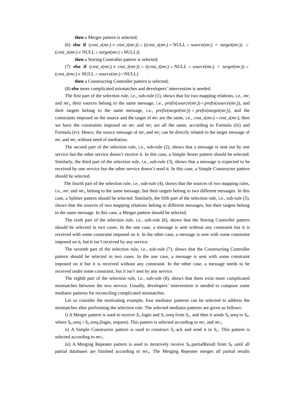**then** a Merger pattern is selected;

 (6) **else if** (*cnst\_s*(*mr*i) ≠ *cnst\_t*(*mr*i)) ∧ ((*cnst\_s*(*mr*i) = NULL ∧ *source*(*mr*i) = *target*(*mr*i)) ∨  $(cnst_S(mr_i) \neq NULL \land target(mr_i) = NULL)$ 

**then** a Storing Controller pattern is selected;

(7) **else if**  $(\text{cnst\_s}(mr_i) \neq \text{cnst\_t}(mr_i)) \land ((\text{cnst\_t}(mr_i) = \text{NULL} \land \text{source}(mr_i) = \text{target}(mr_i)) \lor$ (*cnst\_t*(*mr*i) ≠ NULL ∧ *source*(*mr*i) =NULL)

**then** a Constructing Controller pattern is selected;

(8) **else** more complicated mismatches and developers' intervention is needed.

The first part of the selection rule, i.e., sub-rule  $(1)$ , shows that for two mapping relations, i.e.,  $mr_i$ and *mr*j, their sources belong to the same message, i.e., *prefix*(*source*(*mr*i)) = *prefix*(*source*(*mr*j)), and their targets belong to the same message, i.e.,  $prefix(target(mr_i)) = prefix(target(mr_i))$ , and the constraints imposed on the source and the target of  $mr_i$  are the same, i.e.,  $cnst\_s(mr_i) = cnst\_t(mr_i)$ , then we have the constraints imposed on  $mr_i$  and  $mr_i$  are all the same, according to Formula (iii) and Formula (iv). Hence, the source message of *mr*<sub>i</sub> and *mr*<sub>i</sub> can be directly related to the target message of *mr*i and *mr*j without need of mediation.

 The second part of the selection rule, i.e., sub-rule (2), shows that a message is sent out by one service but the other service doesn't receive it. In this case, a Simple Storer pattern should be selected. Similarly, the third part of the selection rule, i.e., sub-rule (3), shows that a message is expected to be received by one service but the other service doesn't send it. In this case, a Simple Constructor pattern should be selected.

 The fourth part of the selection rule, i.e., sub-rule (4), shows that the sources of two mapping rules, i.e., *mr*i and *mr*j, belong to the same message, but their targets belong to two different messages. In this case, a Splitter pattern should be selected. Similarly, the fifth part of the selection rule, i.e., sub-rule (5), shows that the sources of two mapping relations belong to different messages, but their targets belong to the same message. In this case, a Merger pattern should be selected.

 The sixth part of the selection rule, i.e., sub-rule (6), shows that the Storing Controller pattern should be selected in two cases. In the one case, a message is sent without any constraint but it is received with some constraint imposed on it. In the other case, a message is sent with some constraint imposed on it, but it isn't received by any service.

The seventh part of the selection rule, i.e., sub-rule (7), shows that the Constructing Controller pattern should be selected in two cases. In the one case, a message is sent with some constraint imposed on it but it is received without any constraint. In the other case, a message needs to be received under some constraint, but it isn't sent by any service.

 The eighth part of the selection rule, i.e., sub-rule (8), shows that there exist more complicated mismatches between the two service. Usually, developers' intervention is needed to compose some mediator patterns for reconciling complicated mismatches.

Let us consider the motivating example, four mediator patterns can be selected to address the mismatches after performing the selection rule. The selected mediator patterns are given as follows:

i) A Merger pattern is used to receive  $S_{\rm C}$ .login and  $S_{\rm C}$ .sreq from  $S_{\rm C}$ , and then it sends  $S_{\rm E}$ .sreq to  $S_{\rm E}$ , where  $S_E$  sreq =  $S_E$  sreq.(login, request). This pattern is selected according to  $mr_1$  and  $mr_2$ .

ii) A Simple Constructor pattern is used to construct *S*<sub>C</sub>.ack and send it to *S*<sub>C</sub>. This pattern is selected according to  $mr_3$ .

iii) A Merging Repeater pattern is used to iteratively receive  $S_E$  partialResult from  $S_E$  until all partial databases are finished according to *mr*4. The Merging Repeater merges all partial results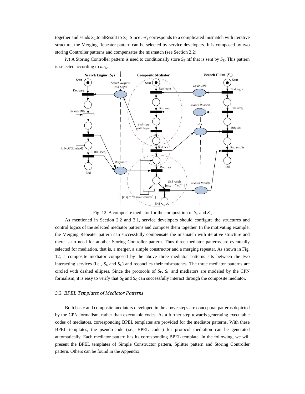together and sends *S*<sub>C</sub>.totalResult to *S*<sub>C</sub>. Since  $mr_4$  corresponds to a complicated mismatch with iterative structure, the Merging Repeater pattern can be selected by service developers. It is composed by two storing Controller patterns and compensates the mismatch (see Section 2.2).

iv) A Storing Controller pattern is used to conditionally store  $S<sub>E</sub>$ .ntf that is sent by  $S<sub>E</sub>$ . This pattern is selected according to  $mr_5$ .



Fig. 12. A composite mediator for the composition of  $S_E$  and  $S_C$ 

As mentioned in Section 2.2 and 3.1, service developers should configure the structures and control logics of the selected mediator patterns and compose them together. In the motivating example, the Merging Repeater pattern can successfully compensate the mismatch with iterative structure and there is no need for another Storing Controller pattern. Thus three mediator patterns are eventually selected for mediation, that is, a merger, a simple constructor and a merging repeater. As shown in Fig. 12, a composite mediator composed by the above three mediator patterns sits between the two interacting services (i.e.,  $S<sub>E</sub>$  and  $S<sub>C</sub>$ ) and reconciles their mismatches. The three mediator patterns are circled with dashed ellipses. Since the protocols of  $S<sub>E</sub>$ ,  $S<sub>C</sub>$  and mediators are modeled by the CPN formalism, it is easy to verify that  $S_E$  and  $S_C$  can successfully interact through the composite mediator.

#### *3.3. BPEL Templates of Mediator Patterns*

Both basic and composite mediators developed in the above steps are conceptual patterns depicted by the CPN formalism, rather than executable codes. As a further step towards generating executable codes of mediators, corresponding BPEL templates are provided for the mediator patterns. With these BPEL templates, the pseudo-code (i.e., BPEL codes) for protocol mediation can be generated automatically. Each mediator pattern has its corresponding BPEL template. In the following, we will present the BPEL templates of Simple Constructor pattern, Splitter pattern and Storing Controller pattern. Others can be found in the Appendix.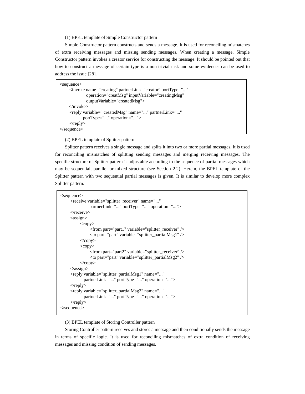(1) BPEL template of Simple Constructor pattern

Simple Constructor pattern constructs and sends a message. It is used for reconciling mismatches of extra receiving messages and missing sending messages. When creating a message, Simple Constructor pattern invokes a creator service for constructing the message. It should be pointed out that how to construct a message of certain type is a non-trivial task and some evidences can be used to address the issue [28].

| $\leq$ sequence $>$                                                      |  |  |  |
|--------------------------------------------------------------------------|--|--|--|
| $\langle$ invoke name="creating" partnerLink="creator" portType=""       |  |  |  |
| operation="creatMsg" inputVariable="creatingMsg"                         |  |  |  |
| output Variable="createdMsg">                                            |  |  |  |
| $\langle$ invoke $\rangle$                                               |  |  |  |
| <reply <="" name="" partnerlink="" td="" variable=" createdMsg"></reply> |  |  |  |
| portType="" operation="">                                                |  |  |  |
| $\langle$ reply $\rangle$                                                |  |  |  |
| $\langle$ /sequence $\rangle$                                            |  |  |  |

(2) BPEL template of Splitter pattern

Splitter pattern receives a single message and splits it into two or more partial messages. It is used for reconciling mismatches of splitting sending messages and merging receiving messages. The specific structure of Splitter pattern is adjustable according to the sequence of partial messages which may be sequential, parallel or mixed structure (see Section 2.2). Herein, the BPEL template of the Splitter pattern with two sequential partial messages is given. It is similar to develop more complex Splitter pattern.

```
<sequence> 
      <receive variable="splitter_receiver" name="..." 
                 partnerLink="..." portType="..." operation="..."> 
      </receive> 
      <assign> 
          <copy> <from part="part1" variable="splitter_receiver" /> 
                 <to part="part" variable="splitter_partialMsg1" /> 
           </copy> 
          <copy>
                 <from part="part2" variable="splitter_receiver" /> 
                 <to part="part" variable="splitter_partialMsg2" /> 
           </copy> 
      </assign> 
      <reply variable="splitter_partialMsg1" name="..." 
             partnerLink="..." portType="..." operation="..."> 
     \langlereply> <reply variable="splitter_partialMsg2" name="..." 
             partnerLink="..." portType="..." operation="..."> 
     \langlereply></sequence>
```
(3) BPEL template of Storing Controller pattern

Storing Controller pattern receives and stores a message and then conditionally sends the message in terms of specific logic. It is used for reconciling mismatches of extra condition of receiving messages and missing condition of sending messages.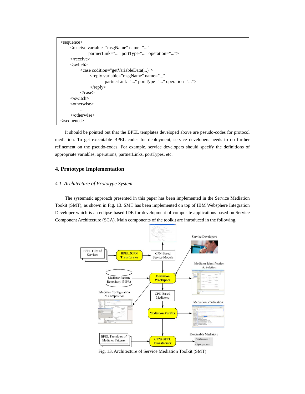```
<sequence> 
      <receive variable="msgName" name="..." 
               partnerLink="..." portType-"..." operation="..."> 
      </receive> 
      <switch> 
           <case codition="getVariableData(...)"> 
                 <reply variable="msgName" name="..." 
                        partnerLink="..." portType="..." operation="..."> 
               \langlereply> </case> 
      </switch> 
      <otherwise> 
 ... 
      </otherwise> 
</sequence>
```
 It should be pointed out that the BPEL templates developed above are pseudo-codes for protocol mediation. To get executable BPEL codes for deployment, service developers needs to do further refinement on the pseudo-codes. For example, service developers should specify the definitions of appropriate variables, operations, partnerLinks, portTypes, etc.

# **4. Prototype Implementation**

# *4.1. Architecture of Prototype System*

The systematic approach presented in this paper has been implemented in the Service Mediation Tookit (SMT), as shown in Fig. 13. SMT has been implemented on top of IBM Websphere Integration Developer which is an eclipse-based IDE for development of composite applications based on Service Component Architecture (SCA). Main components of the toolkit are introduced in the following.



Fig. 13. Architecture of Service Mediation Toolkit (SMT)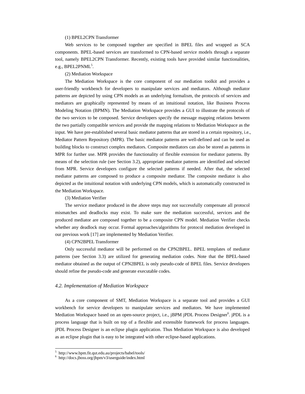# (1) BPEL2CPN Transformer

Web services to be composed together are specified in BPEL files and wrapped as SCA components. BPEL-based services are transformed to CPN-based service models through a separate tool, namely BPEL2CPN Transformer. Recently, existing tools have provided similar functionalities, e.g.,  $BPEL2PNML^5$ .

# (2) Mediation Workspace

The Mediation Workspace is the core component of our mediation toolkit and provides a user-friendly workbench for developers to manipulate services and mediators. Although mediator patterns are depicted by using CPN models as an underlying formalism, the protocols of services and mediators are graphically represented by means of an intuitional notation, like Business Process Modeling Notation (BPMN). The Mediation Workspace provides a GUI to illustrate the protocols of the two services to be composed. Service developers specify the message mapping relations between the two partially compatible services and provide the mapping relations to Mediation Workspace as the input. We have pre-established several basic mediator patterns that are stored in a certain repository, i.e., Mediator Pattern Repository (MPR). The basic mediator patterns are well-defined and can be used as building blocks to construct complex mediators. Composite mediators can also be stored as patterns in MPR for further use. MPR provides the functionality of flexible extension for mediator patterns. By means of the selection rule (see Section 3.2), appropriate mediator patterns are identified and selected from MPR. Service developers configure the selected patterns if needed. After that, the selected mediator patterns are composed to produce a composite mediator. The composite mediator is also depicted as the intuitional notation with underlying CPN models, which is automatically constructed in the Mediation Workspace.

#### (3) Mediation Verifier

The service mediator produced in the above steps may not successfully compensate all protocol mismatches and deadlocks may exist. To make sure the mediation successful, services and the produced mediator are composed together to be a composite CPN model. Mediation Verifier checks whether any deadlock may occur. Formal approaches/algorithms for protocol mediation developed in our previous work [17] are implemented by Mediation Verifier.

#### (4) CPN2BPEL Transformer

Only successful mediator will be performed on the CPN2BPEL. BPEL templates of mediator patterns (see Section 3.3) are utilized for generating mediation codes. Note that the BPEL-based mediator obtained as the output of CPN2BPEL is only pseudo-code of BPEL files. Service developers should refine the pseudo-code and generate executable codes.

#### *4.2. Implementation of Mediation Workspace*

As a core component of SMT, Mediation Workspace is a separate tool and provides a GUI workbench for service developers to manipulate services and mediators. We have implemented Mediation Workspace based on an open-source project, i.e., jBPM jPDL Process Designer<sup>6</sup>. jPDL is a process language that is built on top of a flexible and extensible framework for process languages. jPDL Process Designer is an eclipse plugin application. Thus Mediation Workspace is also developed as an eclipse plugin that is easy to be integrated with other eclipse-based applications.

 $\overline{a}$ 

 $^5$  http://www.bpm.fit.qut.edu.au/projects/babel/tools/ $^6$  http://doos.iboss.grg/ibpm/:2/vegravide/index.html

 $6$  http://docs.jboss.org/jbpm/v3/userguide/index.html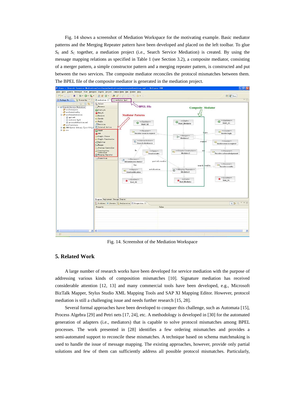Fig. 14 shows a screenshot of Mediation Workspace for the motivating example. Basic mediator patterns and the Merging Repeater pattern have been developed and placed on the left toolbar. To glue *S*E and *S*C together, a mediation project (i.e., Search Service Mediation) is created. By using the message mapping relations as specified in Table 1 (see Section 3.2), a composite mediator, consisting of a merger pattern, a simple constructor pattern and a merging repeater pattern, is constructed and put between the two services. The composite mediator reconciles the protocol mismatches between them. The BPEL file of the composite mediator is generated in the mediation project.



Fig. 14. Screenshot of the Mediation Workspace

# **5. Related Work**

A large number of research works have been developed for service mediation with the purpose of addressing various kinds of composition mismatches [10]. Signature mediation has received considerable attention [12, 13] and many commercial tools have been developed, e.g., Microsoft BizTalk Mapper, Stylus Studio XML Mapping Tools and SAP XI Mapping Editor. However, protocol mediation is still a challenging issue and needs further research [15, 28].

Several formal approaches have been developed to conquer this challenge, such as Automata [15], Process Algebra [29] and Petri nets [17, 24], etc. A methodology is developed in [30] for the automated generation of adapters (i.e., mediators) that is capable to solve protocol mismatches among BPEL processes. The work presented in [28] identifies a few ordering mismatches and provides a semi-automated support to reconcile these mismatches. A technique based on schema matchmaking is used to handle the issue of message mapping. The existing approaches, however, provide only partial solutions and few of them can sufficiently address all possible protocol mismatches. Particularly,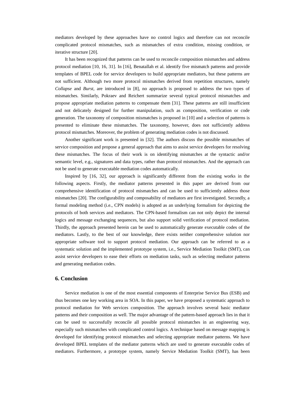mediators developed by these approaches have no control logics and therefore can not reconcile complicated protocol mismatches, such as mismatches of extra condition, missing condition, or iterative structure [20].

It has been recognized that patterns can be used to reconcile composition mismatches and address protocol mediation [10, 16, 31]. In [16], Benatallah et al. identify five mismatch patterns and provide templates of BPEL code for service developers to build appropriate mediators, but these patterns are not sufficient. Although two more protocol mismatches derived from repetition structures, namely *Collapse* and *Burst*, are introduced in [8], no approach is proposed to address the two types of mismatches. Similarly, Pokraev and Reichert summarize several typical protocol mismatches and propose appropriate mediation patterns to compensate them [31]. These patterns are still insufficient and not delicately designed for further manipulation, such as composition, verification or code generation. The taxonomy of composition mismatches is proposed in [10] and a selection of patterns is presented to eliminate these mismatches. The taxonomy, however, does not sufficiently address protocol mismatches. Moreover, the problem of generating mediation codes is not discussed.

Another significant work is presented in [32]. The authors discuss the possible mismatches of service composition and propose a general approach that aims to assist service developers for resolving these mismatches. The focus of their work is on identifying mismatches at the syntactic and/or semantic level, e.g., signatures and data types, rather than protocol mismatches. And the approach can not be used to generate executable mediation codes automatically.

Inspired by [16, 32], our approach is significantly different from the existing works in the following aspects. Firstly, the mediator patterns presented in this paper are derived from our comprehensive identification of protocol mismatches and can be used to sufficiently address those mismatches [20]. The configurability and composability of mediators are first investigated. Secondly, a formal modeling method (i.e., CPN models) is adopted as an underlying formalism for depicting the protocols of both services and mediators. The CPN-based formalism can not only depict the internal logics and message exchanging sequences, but also support solid verification of protocol mediation. Thirdly, the approach presented herein can be used to automatically generate executable codes of the mediators. Lastly, to the best of our knowledge, there exists neither comprehensive solution nor appropriate software tool to support protocol mediation. Our approach can be referred to as a systematic solution and the implemented prototype system, i.e., Service Mediation Toolkit (SMT), can assist service developers to ease their efforts on mediation tasks, such as selecting mediator patterns and generating mediation codes.

# **6. Conclusion**

Service mediation is one of the most essential components of Enterprise Service Bus (ESB) and thus becomes one key working area in SOA. In this paper, we have proposed a systematic approach to protocol mediation for Web services composition. The approach involves several basic mediator patterns and their composition as well. The major advantage of the pattern-based approach lies in that it can be used to successfully reconcile all possible protocol mismatches in an engineering way, especially such mismatches with complicated control logics. A technique based on message mapping is developed for identifying protocol mismatches and selecting appropriate mediator patterns. We have developed BPEL templates of the mediator patterns which are used to generate executable codes of mediators. Furthermore, a prototype system, namely Service Mediation Toolkit (SMT), has been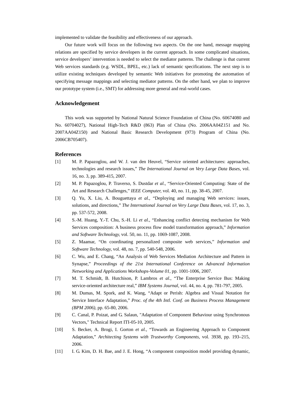implemented to validate the feasibility and effectiveness of our approach.

Our future work will focus on the following two aspects. On the one hand, message mapping relations are specified by service developers in the current approach. In some complicated situations, service developers' intervention is needed to select the mediator patterns. The challenge is that current Web services standards (e.g. WSDL, BPEL, etc.) lack of semantic specifications. The next step is to utilize existing techniques developed by semantic Web initiatives for promoting the automation of specifying message mappings and selecting mediator patterns. On the other hand, we plan to improve our prototype system (i.e., SMT) for addressing more general and real-world cases.

# **Acknowledgement**

This work was supported by National Natural Science Foundation of China (No. 60674080 and No. 60704027), National High-Tech R&D (863) Plan of China (No. 2006AA04Z151 and No. 2007AA04Z150) and National Basic Research Development (973) Program of China (No. 2006CB705407).

# **References**

- [1] M. P. Papazoglou, and W. J. van den Heuvel, "Service oriented architectures: approaches, technologies and research issues," *The International Journal on Very Large Data Bases,* vol. 16, no. 3, pp. 389-415, 2007.
- [2] M. P. Papazoglou, P. Traverso, S. Dustdar *et al.*, "Service-Oriented Computing: State of the Art and Research Challenges," *IEEE Computer,* vol. 40, no. 11, pp. 38-45, 2007.
- [3] Q. Yu, X. Liu, A. Bouguettaya *et al.*, "Deploying and managing Web services: issues, solutions, and directions," *The International Journal on Very Large Data Bases,* vol. 17, no. 3, pp. 537-572, 2008.
- [4] S.-M. Huang, Y.-T. Chu, S.-H. Li *et al.*, "Enhancing conflict detecting mechanism for Web Services composition: A business process flow model transformation approach," *Information and Software Technology,* vol. 50, no. 11, pp. 1069-1087, 2008.
- [5] Z. Maamar, "On coordinating personalized composite web services," *Information and Software Technology,* vol. 48, no. 7, pp. 540-548, 2006.
- [6] C. Wu, and E. Chang, "An Analysis of Web Services Mediation Architecture and Pattern in Synapse," *Proceedings of the 21st International Conference on Advanced Information Networking and Applications Workshops-Volume 01*, pp. 1001-1006, 2007.
- [7] M. T. Schmidt, B. Hutchison, P. Lambros *et al.*, "The Enterprise Service Bus: Making service-oriented architecture real," *IBM Systems Journal,* vol. 44, no. 4, pp. 781-797, 2005.
- [8] M. Dumas, M. Spork, and K. Wang, "Adapt or Perish: Algebra and Visual Notation for Service Interface Adaptation," *Proc. of the 4th Intl. Conf. on Business Process Management (BPM 2006)*, pp. 65-80, 2006.
- [9] C. Canal, P. Poizat, and G. Salaun, "Adaptation of Component Behaviour using Synchronous Vectors," Technical Report ITI-05-10, 2005.
- [10] S. Becker, A. Brogi, I. Gorton *et al.*, "Towards an Engineering Approach to Component Adaptation," *Architecting Systems with Trustworthy Components,* vol. 3938, pp. 193–215, 2006.
- [11] I. G. Kim, D. H. Bae, and J. E. Hong, "A component composition model providing dynamic,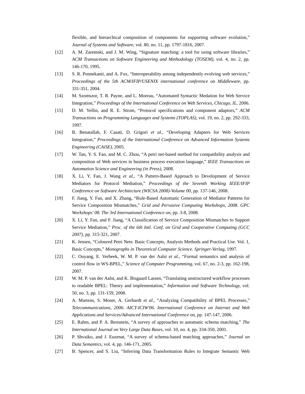flexible, and hierarchical composition of components for supporting software evolution," *Journal of Systems and Software,* vol. 80, no. 11, pp. 1797-1816, 2007.

- [12] A. M. Zaremski, and J. M. Wing, "Signature matching: a tool for using software libraries," *ACM Transactions on Software Engineering and Methodology (TOSEM),* vol. 4, no. 2, pp. 146-170, 1995.
- [13] S. R. Ponnekanti, and A. Fox, "Interoperability among independently evolving web services," *Proceedings of the 5th ACM/IFIP/USENIX international conference on Middleware*, pp. 331-351, 2004.
- [14] M. Szomszor, T. R. Payne, and L. Moreau, "Automated Syntactic Medation for Web Service Integration," *Proceedings of the International Conference on Web Services, Chicago, IL*, 2006.
- [15] D. M. Yellin, and R. E. Strom, "Protocol specifications and component adaptors," *ACM Transactions on Programming Languages and Systems (TOPLAS),* vol. 19, no. 2, pp. 292-333, 1997.
- [16] B. Benatallah, F. Casati, D. Grigori *et al.*, "Developing Adapters for Web Services Integration," *Proceedings of the International Conference on Advanced Information Systems Engineering (CAiSE)*, 2005.
- [17] W. Tan, Y. S. Fan, and M. C. Zhou, "A petri net-based method for compatibility analysis and composition of Web services in business process execution language," *IEEE Transactions on Automation Science and Engineering (in Press)*, 2008.
- [18] X. Li, Y. Fan, J. Wang *et al.*, "A Pattern-Based Approach to Development of Service Mediators for Protocol Mediation," *Proceedings of the Seventh Working IEEE/IFIP Conference on Software Architecture (WICSA 2008)-Volume 00*, pp. 137-146, 2008.
- [19] F. Jiang, Y. Fan, and X. Zhang, "Rule-Based Automatic Generation of Mediator Patterns for Service Composition Mismatches," *Grid and Pervasive Computing Workshops, 2008. GPC Workshops' 08. The 3rd International Conference on*, pp. 3-8, 2008.
- [20] X. Li, Y. Fan, and F. Jiang, "A Classification of Service Composition Mismatches to Support Service Mediation," *Proc. of the 6th Intl. Conf. on Grid and Cooperative Computing (GCC 2007)*, pp. 315-321, 2007.
- [21] K. Jensen, "Coloured Petri Nets: Basic Concepts, Analysis Methods and Practical Use. Vol. 1, Basic Concepts," *Monographs in Theoretical Computer Science. Springer-Verlag*, 1997.
- [22] C. Ouyang, E. Verbeek, W. M. P. van der Aalst *et al.*, "Formal semantics and analysis of control flow in WS-BPEL," *Science of Computer Programming,* vol. 67, no. 2-3, pp. 162-198, 2007.
- [23] W. M. P. van der Aalst, and K. Bisgaard Lassen, "Translating unstructured workflow processes to readable BPEL: Theory and implementation," *Information and Software Technology,* vol. 50, no. 3, pp. 131-159, 2008.
- [24] A. Martens, S. Moser, A. Gerhardt *et al.*, "Analyzing Compatibility of BPEL Processes," *Telecommunications, 2006. AICT-ICIW'06. International Conference on Internet and Web Applications and Services/Advanced International Conference on*, pp. 147-147, 2006.
- [25] E. Rahm, and P. A. Bernstein, "A survey of approaches to automatic schema matching," *The International Journal on Very Large Data Bases,* vol. 10, no. 4, pp. 334-350, 2001.
- [26] P. Shvaiko, and J. Euzenat, "A survey of schema-based matching approaches," *Journal on Data Semantics,* vol. 4, pp. 146-171, 2005.
- [27] B. Spencer, and S. Liu, "Inferring Data Transformation Rules to Integrate Semantic Web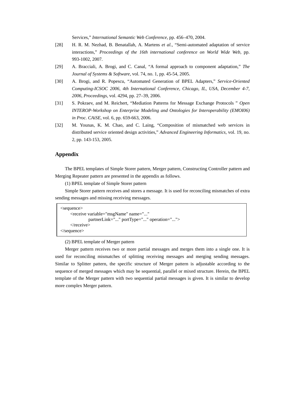Services," *International Semantic Web Conference*, pp. 456–470, 2004.

- [28] H. R. M. Nezhad, B. Benatallah, A. Martens *et al.*, "Semi-automated adaptation of service interactions," *Proceedings of the 16th international conference on World Wide Web*, pp. 993-1002, 2007.
- [29] A. Bracciali, A. Brogi, and C. Canal, "A formal approach to component adaptation," *The Journal of Systems & Software,* vol. 74, no. 1, pp. 45-54, 2005.
- [30] A. Brogi, and R. Popescu, "Automated Generation of BPEL Adapters," *Service-Oriented Computing-ICSOC 2006, 4th International Conference, Chicago, IL, USA, December 4-7, 2006, Proceedings,* vol. 4294, pp. 27–39, 2006.
- [31] S. Pokraev, and M. Reichert, "Mediation Patterns for Message Exchange Protocols " *Open INTEROP-Workshop on Enterprise Modeling and Ontologies for Interoperability (EMOI06) in Proc. CAiSE,* vol. 6, pp. 659-663, 2006.
- [32] M. Younas, K. M. Chao, and C. Laing, "Composition of mismatched web services in distributed service oriented design activities," *Advanced Engineering Informatics,* vol. 19, no. 2, pp. 143-153, 2005.

# **Appendix**

The BPEL templates of Simple Storer pattern, Merger pattern, Constructing Controller pattern and Merging Repeater pattern are presented in the appendix as follows.

(1) BPEL template of Simple Storer pattern

Simple Storer pattern receives and stores a message. It is used for reconciling mismatches of extra sending messages and missing receiving messages.

```
<sequence> 
      <receive variable="msgName" name="..." 
               partnerLink="..." portType="..." operation="..."> 
      </receive> 
</sequence>
```
(2) BPEL template of Merger pattern

Merger pattern receives two or more partial messages and merges them into a single one. It is used for reconciling mismatches of splitting receiving messages and merging sending messages. Similar to Splitter pattern, the specific structure of Merger pattern is adjustable according to the sequence of merged messages which may be sequential, parallel or mixed structure. Herein, the BPEL template of the Merger pattern with two sequential partial messages is given. It is similar to develop more complex Merger pattern.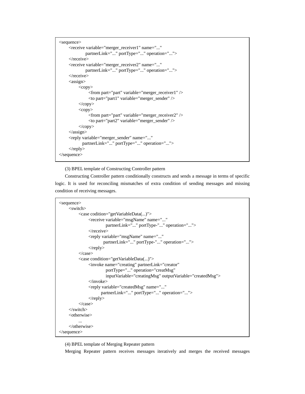```
<sequence> 
      <receive variable="merger_receiver1" name="..." 
               partnerLink="..." portType="..." operation="..."> 
      </receive> 
      <receive variable="merger_receiver2" name="..." 
               partnerLink="..." portType="..." operation="..."> 
     </receive>
     <assign>
          <copy>
                 <from part="part" variable="merger_receiver1" /> 
                 <to part="part1" variable="merger_sender" /> 
           </copy> 
          <copy>
                 <from part="part" variable="merger_receiver2" /> 
                 <to part="part2" variable="merger_sender" /> 
          \langle \ranglecopy>\langleassign\rangle <reply variable="merger_sender" name="..." 
             partnerLink="..." portType="..." operation="..."> 
     \langlereply></sequence>
```
(3) BPEL template of Constructing Controller pattern

Constructing Controller pattern conditionally constructs and sends a message in terms of specific logic. It is used for reconciling mismatches of extra condition of sending messages and missing condition of receiving messages.

```
<sequence> 
      <switch> 
           <case codition="getVariableData(...)"> 
                 <receive variable="msgName" name="..." 
                          partnerLink="..." portType-"..." operation="..."> 
                 </receive> 
                 <reply variable="msgName" name="..." 
                        partnerLink="..." portType-"..." operation="..."> 
                \langlereply>\langle \text{case} \rangle <case condition="getVariableData(...)"> 
                 <invoke name="creating" partnerLink="creator" 
                          portType="..." operation="creatMsg" 
                         inputVariable="creatingMsg" outputVariable="createdMsg"> 
                 </invoke> 
                 <reply variable="createdMsg" name="..." 
                       partnerLink="..." portType="..." operation="..."> 
                \langlereply> </case> 
      </switch> 
      <otherwise> 
 ... 
      </otherwise> 
</sequence>
```
(4) BPEL template of Merging Repeater pattern

Merging Repeater pattern receives messages iteratively and merges the received messages